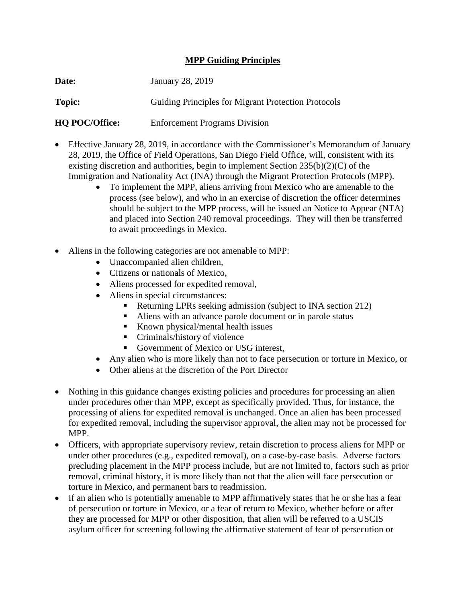## **MPP Guiding Principles**

| Date:                 | January 28, 2019                                           |
|-----------------------|------------------------------------------------------------|
| Topic:                | <b>Guiding Principles for Migrant Protection Protocols</b> |
| <b>HO POC/Office:</b> | <b>Enforcement Programs Division</b>                       |

- Effective January 28, 2019, in accordance with the Commissioner's Memorandum of January 28, 2019, the Office of Field Operations, San Diego Field Office, will, consistent with its existing discretion and authorities, begin to implement Section 235(b)(2)(C) of the Immigration and Nationality Act (INA) through the Migrant Protection Protocols (MPP).
	- To implement the MPP, aliens arriving from Mexico who are amenable to the process (see below), and who in an exercise of discretion the officer determines should be subject to the MPP process, will be issued an Notice to Appear (NTA) and placed into Section 240 removal proceedings. They will then be transferred to await proceedings in Mexico.
- Aliens in the following categories are not amenable to MPP:
	- Unaccompanied alien children,
	- Citizens or nationals of Mexico,
	- Aliens processed for expedited removal,
	- Aliens in special circumstances:
		- Returning LPRs seeking admission (subject to INA section 212)
		- Aliens with an advance parole document or in parole status
		- Known physical/mental health issues
		- Criminals/history of violence
		- Government of Mexico or USG interest,
	- Any alien who is more likely than not to face persecution or torture in Mexico, or
	- Other aliens at the discretion of the Port Director
- Nothing in this guidance changes existing policies and procedures for processing an alien under procedures other than MPP, except as specifically provided. Thus, for instance, the processing of aliens for expedited removal is unchanged. Once an alien has been processed for expedited removal, including the supervisor approval, the alien may not be processed for MPP.
- Officers, with appropriate supervisory review, retain discretion to process aliens for MPP or under other procedures (e.g., expedited removal), on a case-by-case basis. Adverse factors precluding placement in the MPP process include, but are not limited to, factors such as prior removal, criminal history, it is more likely than not that the alien will face persecution or torture in Mexico, and permanent bars to readmission.
- If an alien who is potentially amenable to MPP affirmatively states that he or she has a fear of persecution or torture in Mexico, or a fear of return to Mexico, whether before or after they are processed for MPP or other disposition, that alien will be referred to a USCIS asylum officer for screening following the affirmative statement of fear of persecution or